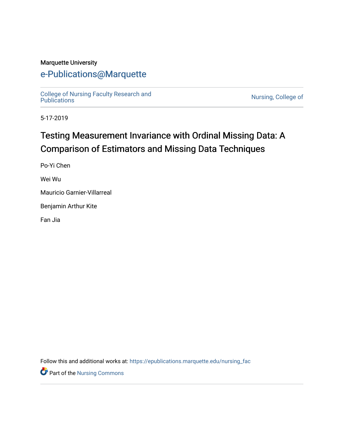### Marquette University

# [e-Publications@Marquette](https://epublications.marquette.edu/)

[College of Nursing Faculty Research and](https://epublications.marquette.edu/nursing_fac)<br>Publications

Nursing, College of

5-17-2019

# Testing Measurement Invariance with Ordinal Missing Data: A Comparison of Estimators and Missing Data Techniques

Po-Yi Chen

Wei Wu

Mauricio Garnier-Villarreal

Benjamin Arthur Kite

Fan Jia

Follow this and additional works at: [https://epublications.marquette.edu/nursing\\_fac](https://epublications.marquette.edu/nursing_fac?utm_source=epublications.marquette.edu%2Fnursing_fac%2F621&utm_medium=PDF&utm_campaign=PDFCoverPages)

**Part of the Nursing Commons**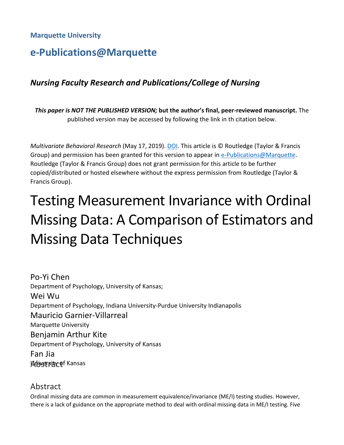### **Marquette University**

# **e-Publications@Marquette**

# *Nursing Faculty Research and Publications/College of Nursing*

*This paper is NOT THE PUBLISHED VERSION;* **but the author's final, peer-reviewed manuscript.** The published version may be accessed by following the link in th citation below.

*Multivariate Behavioral Research* (May 17, 2019). [DOI.](https://doi.org/10.1080/00273171.2019.1608799) This article is © Routledge (Taylor & Francis Group) and permission has been granted for this version to appear in [e-Publications@Marquette.](http://epublications.marquette.edu/) Routledge (Taylor & Francis Group) does not grant permission for this article to be further copied/distributed or hosted elsewhere without the express permission from Routledge (Taylor & Francis Group).

# Testing Measurement Invariance with Ordinal Missing Data: A Comparison of Estimators and Missing Data Techniques

Po-Yi Chen Department of Psychology, University of Kansas; Wei Wu Department of Psychology, Indiana University-Purdue University Indianapolis Mauricio Garnier-Villarreal Marquette University Benjamin Arthur Kite Department of Psychology, University of Kansas Fan Jia **Arbigersity of Kansas** 

### Abstract

Ordinal missing data are common in measurement equivalence/invariance (ME/I) testing studies. However, there is a lack of guidance on the appropriate method to deal with ordinal missing data in ME/I testing. Five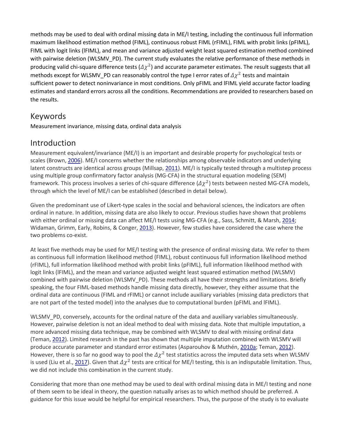methods may be used to deal with ordinal missing data in ME/I testing, including the continuous full information maximum likelihood estimation method (FIML), continuous robust FIML (rFIML), FIML with probit links (pFIML), FIML with logit links (lFIML), and mean and variance adjusted weight least squared estimation method combined with pairwise deletion (WLSMV\_PD). The current study evaluates the relative performance of these methods in producing valid chi-square difference tests ( $\Delta \chi^2$ ) and accurate parameter estimates. The result suggests that all methods except for WLSMV\_PD can reasonably control the type I error rates of  $\Delta \chi^2$  tests and maintain sufficient power to detect noninvariance in most conditions. Only pFIML and lFIML yield accurate factor loading estimates and standard errors across all the conditions. Recommendations are provided to researchers based on the results.

# Keywords

Measurement invariance, missing data, ordinal data analysis

# Introduction

Measurement equivalent/invariance (ME/I) is an important and desirable property for psychological tests or scales (Brown, [2006\)](https://www.tandfonline.com/doi/full/10.1080/00273171.2019.1608799). ME/I concerns whether the relationships among observable indicators and underlying latent constructs are identical across groups (Millsap, [2011\)](https://www.tandfonline.com/doi/full/10.1080/00273171.2019.1608799). ME/I is typically tested through a multistep process using multiple group confirmatory factor analysis (MG-CFA) in the structural equation modeling (SEM) framework. This process involves a series of chi-square difference  $(\Delta \chi^2)$  tests between nested MG-CFA models, through which the level of ME/I can be established (described in detail below).

Given the predominant use of Likert-type scales in the social and behavioral sciences, the indicators are often ordinal in nature. In addition, missing data are also likely to occur. Previous studies have shown that problems with either ordinal or missing data can affect ME/I tests using MG-CFA (e.g., Sass, Schmitt, & Marsh, [2014;](https://www.tandfonline.com/doi/full/10.1080/00273171.2019.1608799) Widaman, Grimm, Early, Robins, & Conger, [2013\)](https://www.tandfonline.com/doi/full/10.1080/00273171.2019.1608799). However, few studies have considered the case where the two problems co-exist.

At least five methods may be used for ME/I testing with the presence of ordinal missing data. We refer to them as continuous full information likelihood method (FIML), robust continuous full information likelihood method (rFIML), full information likelihood method with probit links (pFIML), full information likelihood method with logit links (lFIML), and the mean and variance adjusted weight least squared estimation method (WLSMV) combined with pairwise deletion (WLSMV\_PD). These methods all have their strengths and limitations. Briefly speaking, the four FIML-based methods handle missing data directly, however, they either assume that the ordinal data are continuous (FIML and rFIML) or cannot include auxiliary variables (missing data predictors that are not part of the tested model) into the analyses due to computational burden (pFIML and lFIML).

WLSMV\_PD, conversely, accounts for the ordinal nature of the data and auxiliary variables simultaneously. However, pairwise deletion is not an ideal method to deal with missing data. Note that multiple imputation, a more advanced missing data technique, may be combined with WLSMV to deal with missing ordinal data (Teman, [2012\)](https://www.tandfonline.com/doi/full/10.1080/00273171.2019.1608799). Limited research in the past has shown that multiple imputation combined with WLSMV will produce accurate parameter and standard error estimates (Asparouhov & Muthén, [2010a;](https://www.tandfonline.com/doi/full/10.1080/00273171.2019.1608799) Teman, [2012\)](https://www.tandfonline.com/doi/full/10.1080/00273171.2019.1608799). However, there is so far no good way to pool the  $\Delta \chi^2$  test statistics across the imputed data sets when WLSMV is used (Liu et al., [2017\)](https://www.tandfonline.com/doi/full/10.1080/00273171.2019.1608799). Given that  $\Delta \chi^2$  tests are critical for ME/I testing, this is an indisputable limitation. Thus, we did not include this combination in the current study.

Considering that more than one method may be used to deal with ordinal missing data in ME/I testing and none of them seem to be ideal in theory, the question natually arises as to which method should be preferred. A guidance for this issue would be helpful for empirical researchers. Thus, the purpose of the study is to evaluate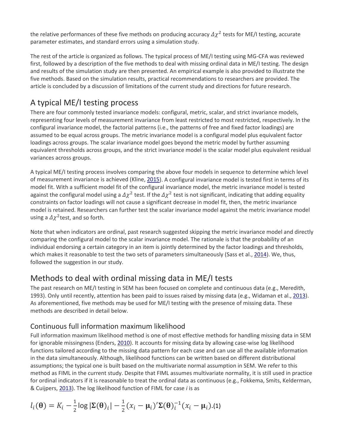the relative performances of these five methods on producing accuracy  $\Delta \chi^2$  tests for ME/I testing, accurate parameter estimates, and standard errors using a simulation study.

The rest of the article is organized as follows. The typical process of ME/I testing using MG-CFA was reviewed first, followed by a description of the five methods to deal with missing ordinal data in ME/I testing. The design and results of the simulation study are then presented. An empirical example is also provided to illustrate the five methods. Based on the simulation results, practical recommendations to researchers are provided. The article is concluded by a discussion of limitations of the current study and directions for future research.

# A typical ME/I testing process

There are four commonly tested invariance models: configural, metric, scalar, and strict invariance models, representing four levels of measurement invariance from least restricted to most restricted, respectively. In the configural invariance model, the factorial patterns (i.e., the patterns of free and fixed factor loadings) are assumed to be equal across groups. The metric invariance model is a configural model plus equivalent factor loadings across groups. The scalar invariance model goes beyond the metric model by further assuming equivalent thresholds across groups, and the strict invariance model is the scalar model plus equivalent residual variances across groups.

A typical ME/I testing process involves comparing the above four models in sequence to determine which level of measurement invariance is achieved (Kline, [2015\)](https://www.tandfonline.com/doi/full/10.1080/00273171.2019.1608799). A configural invariance model is tested first in terms of its model fit. With a sufficient model fit of the configural invariance model, the metric invariance model is tested against the configural model using a  $\Delta \chi^2$  test. If the  $\Delta \chi^2$  test is not significant, indicating that adding equality constraints on factor loadings will not cause a significant decrease in model fit, then, the metric invariance model is retained. Researchers can further test the scalar invariance model against the metric invariance model using a  $\Delta \chi^2$  test, and so forth.

Note that when indicators are ordinal, past research suggested skipping the metric invariance model and directly comparing the configural model to the scalar invariance model. The rationale is that the probability of an individual endorsing a certain category in an item is jointly determined by the factor loadings and thresholds, which makes it reasonable to test the two sets of parameters simultaneously (Sass et al., [2014\)](https://www.tandfonline.com/doi/full/10.1080/00273171.2019.1608799). We, thus, followed the suggestion in our study.

# Methods to deal with ordinal missing data in ME/I tests

The past research on ME/I testing in SEM has been focused on complete and continuous data (e.g., Meredith, 1993). Only until recently, attention has been paid to issues raised by missing data (e.g., Widaman et al., [2013\)](https://www.tandfonline.com/doi/full/10.1080/00273171.2019.1608799). As aforementioned, five methods may be used for ME/I testing with the presence of missing data. These methods are described in detail below.

## Continuous full information maximum likelihood

Full information maximum likelihood method is one of most effective methods for handling missing data in SEM for ignorable missingness (Enders, [2010\)](https://www.tandfonline.com/doi/full/10.1080/00273171.2019.1608799). It accounts for missing data by allowing case-wise log likelihood functions tailored according to the missing data pattern for each case and can use all the available information in the data simultaneously. Although, likelihood functions can be written based on different distributional assumptions; the typical one is built based on the multivariate normal assumption in SEM. We refer to this method as FIML in the current study. Despite that FIML assumes multivariate normality, it is still used in practice for ordinal indicators if it is reasonable to treat the ordinal data as continuous (e.g., Fokkema, Smits, Kelderman, & Cuijpers, [2013\)](https://www.tandfonline.com/doi/full/10.1080/00273171.2019.1608799). The log likelihood function of FIML for case *i* is as

$$
l_i(\boldsymbol{\theta}) = K_i - \frac{1}{2} \log |\boldsymbol{\Sigma}(\boldsymbol{\theta})_i| - \frac{1}{2} (x_i - \boldsymbol{\mu}_i)' \boldsymbol{\Sigma}(\boldsymbol{\theta})_i^{-1} (x_i - \boldsymbol{\mu}_i). (1)
$$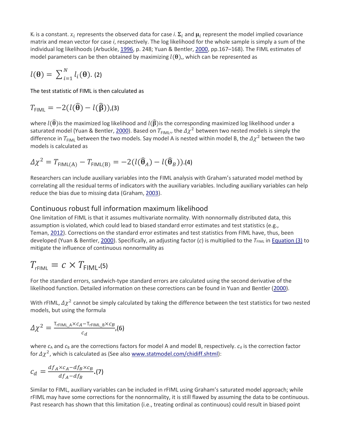$K_i$  is a constant.  $x_i$  represents the observed data for case *i*.  $\Sigma_i$  and  $\mu_i$  represent the model implied covariance matrix and mean vector for case *i*, respectively. The log likelihood for the whole sample is simply a sum of the individual log likelihoods (Arbuckle, [1996,](https://www.tandfonline.com/doi/full/10.1080/00273171.2019.1608799) p. 248; Yuan & Bentler, [2000,](https://www.tandfonline.com/doi/full/10.1080/00273171.2019.1608799) pp.167–168). The FIML estimates of model parameters can be then obtained by maximizing  $l(\theta)$ ,, which can be represented as

$$
l(\mathbf{\Theta}) = \sum_{i=1}^{N} l_i(\mathbf{\Theta}).
$$
 (2)

The test statistic of FIML is then calculated as

$$
T_{\text{FIML}} = -2(l(\widehat{\boldsymbol{\theta}}) - l(\widehat{\boldsymbol{\beta}})), \text{(3)}
$$

where  $l(\hat{\theta})$  is the maximized log likelihood and  $l(\hat{\beta})$  is the corresponding maximized log likelihood under a saturated model (Yuan & Bentler, [2000\)](https://www.tandfonline.com/doi/full/10.1080/00273171.2019.1608799). Based on  $T_{\text{FIML}}$ , the  $\Delta \chi^2$  between two nested models is simply the difference in  $T_{\text{FIML}}$  between the two models. Say model A is nested within model B, the  $\Delta \chi^2$  between the two models is calculated as

$$
\Delta \chi^2 = T_{\text{FIML}(A)} - T_{\text{FIML}(B)} = -2(l(\widehat{\boldsymbol{\theta}}_A) - l(\widehat{\boldsymbol{\theta}}_B)).(4)
$$

Researchers can include auxiliary variables into the FIML analysis with Graham's saturated model method by correlating all the residual terms of indicators with the auxiliary variables. Including auxiliary variables can help reduce the bias due to missing data (Graham, [2003\)](https://www.tandfonline.com/doi/full/10.1080/00273171.2019.1608799).

#### Continuous robust full information maximum likelihood

One limitation of FIML is that it assumes multivariate normality. With nonnormally distributed data, this assumption is violated, which could lead to biased standard error estimates and test statistics (e.g., Teman, [2012\)](https://www.tandfonline.com/doi/full/10.1080/00273171.2019.1608799). Corrections on the standard error estimates and test statistics from FIML have, thus, been developed (Yuan & Bentler, [2000\)](https://www.tandfonline.com/doi/full/10.1080/00273171.2019.1608799). Specifically, an adjusting factor (*c*) is multiplied to the  $T_{FIML}$  in [Equation \(3\)](https://www.tandfonline.com/doi/full/10.1080/00273171.2019.1608799#M0003) to mitigate the influence of continuous nonnormality as

$$
T_{\text{rfIML}} = c \times T_{\text{FIML}}.(5)
$$

For the standard errors, sandwich-type standard errors are calculated using the second derivative of the likelihood function. Detailed information on these corrections can be found in Yuan and Bentler [\(2000\)](https://www.tandfonline.com/doi/full/10.1080/00273171.2019.1608799).

With rFIML,  $\Delta \chi^2$  cannot be simply calculated by taking the difference between the test statistics for two nested models, but using the formula

$$
\Delta \chi^2 = \frac{T_{\text{rfIML\_A}} \times c_A - T_{\text{rfIML\_B}} \times c_B}{c_d}
$$

where  $c_A$  and  $c_B$  are the corrections factors for model A and model B, respectively.  $c_d$  is the correction factor for  $\Delta \chi^2$ , which is calculated as (See also [www.statmodel.com/chidiff.shtml\)](http://www.statmodel.com/chidiff.shtml):

$$
c_d = \frac{df_A \times c_A - df_B \times c_B}{df_A - df_B} \cdot (7)
$$

Similar to FIML, auxiliary variables can be included in rFIML using Graham's saturated model approach; while rFIML may have some corrections for the nonnormality, it is still flawed by assuming the data to be continuous. Past research has shown that this limitation (i.e., treating ordinal as continuous) could result in biased point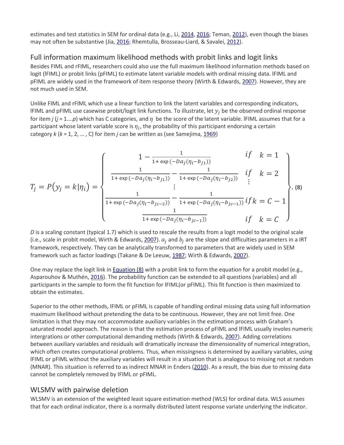estimates and test statistics in SEM for ordinal data (e.g., Li, [2014,](https://www.tandfonline.com/doi/full/10.1080/00273171.2019.1608799) [2016;](https://www.tandfonline.com/doi/full/10.1080/00273171.2019.1608799) Teman, [2012\)](https://www.tandfonline.com/doi/full/10.1080/00273171.2019.1608799), even though the biases may not often be substantive (Jia, [2016;](https://www.tandfonline.com/doi/full/10.1080/00273171.2019.1608799) Rhemtulla, Brosseau-Liard, & Savalei, [2012\)](https://www.tandfonline.com/doi/full/10.1080/00273171.2019.1608799).

### Full information maximum likelihood methods with probit links and logit links

Besides FIML and rFIML, researchers could also use the full maximum likelihood information methods based on logit (lFIML) or probit links (pFIML) to estimate latent variable models with ordinal missing data. lFIML and pFIML are widely used in the framework of item response theory (Wirth & Edwards, [2007\)](https://www.tandfonline.com/doi/full/10.1080/00273171.2019.1608799). However, they are not much used in SEM.

Unlike FIML and rFIML which use a linear function to link the latent variables and corresponding indicators, IFIML and pFIML use casewise probit/logit link functions. To illustrate, let  $y_i$  be the observed ordinal response for item *j* ( $j = 1,...,p$ ) which has C categories, and  $\eta$  be the score of the latent variable. IFIML assumes that for a participant whose latent variable score is  $\eta_i$ , the probability of this participant endorsing a certain category *k* (*k* = 1, 2, … , C) for item *j* can be written as (see Samejima, [1969\)](https://www.tandfonline.com/doi/full/10.1080/00273171.2019.1608799)

$$
T_{j} = P(y_{j} = k | \eta_{i}) = \begin{cases} 1 - \frac{1}{1 + \exp(-Da_{j}(\eta_{i} - b_{j1}))} & \text{if } k = 1 \\ \frac{1}{1 + \exp(-Da_{j}(\eta_{i} - b_{j1}))} - \frac{1}{1 + \exp(-Da_{j}(\eta_{i} - b_{j2}))} & \text{if } k = 2 \\ \vdots & \vdots \\ \frac{1}{1 + \exp(-Da_{j}(\eta_{i} - b_{jc-2}))} - \frac{1}{1 + \exp(-Da_{j}(\eta_{i} - b_{jc-1}))} & \text{if } k = C - 1 \\ \frac{1}{1 + \exp(-Da_{j}(\eta_{i} - b_{jc-1}))} & \text{if } k = C \end{cases} (8)
$$

*D* is a scaling constant (typical 1.7) which is used to rescale the results from a logit model to the original scale (i.e., scale in probit model, Wirth & Edwards, [2007\)](https://www.tandfonline.com/doi/full/10.1080/00273171.2019.1608799).  $a_i$  and  $b_i$  are the slope and difficulties parameters in a IRT framework, respectively. They can be analytically transformed to parameters that are widely used in SEM framework such as factor loadings (Takane & De Leeuw, [1987;](https://www.tandfonline.com/doi/full/10.1080/00273171.2019.1608799) Wirth & Edwards, [2007\)](https://www.tandfonline.com/doi/full/10.1080/00273171.2019.1608799).

One may replace the logit link in [Equation \(8\)](https://www.tandfonline.com/doi/full/10.1080/00273171.2019.1608799#M0008) with a probit link to form the equation for a probit model (e.g., Asparouhov & Muthén, [2016\)](https://www.tandfonline.com/doi/full/10.1080/00273171.2019.1608799). The probability function can be extended to all questions (variables) and all participants in the sample to form the fit function for lFIML(or pFIML). This fit function is then maximized to obtain the estimates.

Superior to the other methods, lFIML or pFIML is capable of handling ordinal missing data using full information maximum likelihood without pretending the data to be continuous. However, they are not limit free. One limitation is that they may not accommodate auxiliary variables in the estimation process with Graham's saturated model approach. The reason is that the estimation process of pFIML and lFIML usually involes numeric intergrations or other computational demanding methods (Wirth & Edwards, [2007\)](https://www.tandfonline.com/doi/full/10.1080/00273171.2019.1608799). Adding correlations between auxiliary variables and residuals will dramatically increase the dimensionality of numerical integration, which often creates computational problems. Thus, when missingness is determined by auxiliary variables, using lFIML or pFIML without the auxiliary variables will result in a situation that is analogous to missing not at random (MNAR). This situation is referred to as indirect MNAR in Enders [\(2010\)](https://www.tandfonline.com/doi/full/10.1080/00273171.2019.1608799). As a result, the bias due to missing data cannot be completely removed by IFIML or pFIML.

### WLSMV with pairwise deletion

WLSMV is an extension of the weighted least square estimation method (WLS) for ordinal data. WLS assumes that for each ordinal indicator, there is a normally distributed latent response variate underlying the indicator.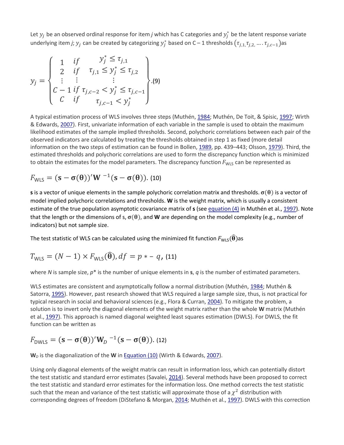Let  $y_j$  be an observed ordinal response for item *j* which has C categories and  $y_j^*$  be the latent response variate underlying item *j;*  $y_j$  *can be created by categorizing*  $y_j^*$  based on C – 1 thresholds  $(\tau_{j,1,\tau_{j,2,\cdots} \ldots \tau_{j,c-1}})$ as

$$
y_j = \begin{cases} 1 & \text{if } & y_j^* \leq \tau_{j,1} \\ 2 & \text{if } & \tau_{j,1} \leq y_j^* \leq \tau_{j,2} \\ \vdots & \vdots & \vdots \\ C - 1 & \text{if } & \tau_{j,c-2} < y_j^* \leq \tau_{j,c-1} \\ C & \text{if } & \tau_{j,c-1} < y_j^* \end{cases} . (9)
$$

A typical estimation process of WLS involves three steps (Muthén, [1984;](https://www.tandfonline.com/doi/full/10.1080/00273171.2019.1608799) Muthén, De Toit, & Spisic, [1997;](https://www.tandfonline.com/doi/full/10.1080/00273171.2019.1608799) Wirth & Edwards, [2007\)](https://www.tandfonline.com/doi/full/10.1080/00273171.2019.1608799). First, univariate information of each variable in the sample is used to obtain the maximum likelihood estimates of the sample implied thresholds. Second, polychoric correlations between each pair of the observed indicators are calculated by treating the thresholds obtained in step 1 as fixed (more detail information on the two steps of estimation can be found in Bollen, [1989,](https://www.tandfonline.com/doi/full/10.1080/00273171.2019.1608799) pp. 439–443; Olsson, [1979\)](https://www.tandfonline.com/doi/full/10.1080/00273171.2019.1608799). Third, the estimated thresholds and polychoric correlations are used to form the discrepancy function which is minimized to obtain the estimates for the model parameters. The discrepancy function  $F_{WLS}$  can be represented as

$$
F_{WLS} = (\mathbf{s} - \boldsymbol{\sigma}(\boldsymbol{\theta}))' \mathbf{W}^{-1} (\mathbf{s} - \boldsymbol{\sigma}(\boldsymbol{\theta})).
$$
 (10)

**s** is a vector of unique elements in the sample polychoric correlation matrix and thresholds.  $\sigma(\theta)$  is a vector of model implied polychoric correlations and thresholds. **W** is the weight matrix, which is usually a consistent estimate of the true population asymptotic covariance matrix of **s** (see [equation \(4\)](https://www.tandfonline.com/doi/full/10.1080/00273171.2019.1608799#M0004) in Muthén et al., [1997\)](https://www.tandfonline.com/doi/full/10.1080/00273171.2019.1608799). Note that the length or the dimensions of s,  $\sigma(\theta)$ , and **W** are depending on the model complexity (e.g., number of indicators) but not sample size.

The test statistic of WLS can be calculated using the minimized fit function  $F_{\text{WLS}}(\widehat{\theta})$ as

$$
T_{\text{WLS}} = (N-1) \times F_{\text{WLS}}(\widehat{\boldsymbol{\theta}}), df = p * - q, (11)
$$

where *N* is sample size, *p*\* is the number of unique elements in **s**, *q* is the number of estimated parameters.

WLS estimates are consistent and asymptotically follow a normal distribution (Muthén, [1984;](https://www.tandfonline.com/doi/full/10.1080/00273171.2019.1608799) Muthén & Satorra, [1995\)](https://www.tandfonline.com/doi/full/10.1080/00273171.2019.1608799). However, past research showed that WLS required a large sample size, thus, is not practical for typical research in social and behavioral sciences (e.g., Flora & Curran, [2004\)](https://www.tandfonline.com/doi/full/10.1080/00273171.2019.1608799). To mitigate the problem, a solution is to invert only the diagonal elements of the weight matrix rather than the whole **W** matrix (Muthén et al., [1997\)](https://www.tandfonline.com/doi/full/10.1080/00273171.2019.1608799). This approach is named diagonal weighted least squares estimation (DWLS). For DWLS, the fit function can be written as

$$
F_{\text{DWLS}} = (\mathbf{s} - \boldsymbol{\sigma}(\boldsymbol{\theta}))' \mathbf{W}_D^{-1} (\mathbf{s} - \boldsymbol{\sigma}(\boldsymbol{\theta})).
$$
 (12)

W<sub>*D*</sub> is the diagonalization of the W in [Equation \(10\)](https://www.tandfonline.com/doi/full/10.1080/00273171.2019.1608799#M0010) (Wirth & Edwards, [2007\)](https://www.tandfonline.com/doi/full/10.1080/00273171.2019.1608799).

Using only diagonal elements of the weight matrix can result in information loss, which can potentially distort the test statistic and standard error estimates (Savalei, [2014\)](https://www.tandfonline.com/doi/full/10.1080/00273171.2019.1608799). Several methods have been proposed to correct the test statistic and standard error estimates for the information loss. One method corrects the test statistic such that the mean and variance of the test statistic will approximate those of a  $\chi^2$  distribution with corresponding degrees of freedom (DiStefano & Morgan, [2014;](https://www.tandfonline.com/doi/full/10.1080/00273171.2019.1608799) Muthén et al., [1997\)](https://www.tandfonline.com/doi/full/10.1080/00273171.2019.1608799). DWLS with this correction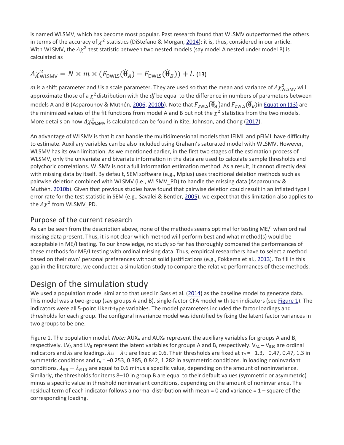is named WLSMV, which has become most popular. Past research found that WLSMV outperformed the others in terms of the accuracy of  $\chi^2$  statistics (DiStefano & Morgan, [2014\)](https://www.tandfonline.com/doi/full/10.1080/00273171.2019.1608799); it is, thus, considered in our article. With WLSMV, the  $\Delta \chi^2$  test statistic between two nested models (say model A nested under model B) is calculated as

$$
\Delta \chi_{\text{WLSMV}}^2 = N \times m \times (F_{\text{DWLS}}(\widehat{\boldsymbol{\theta}}_A) - F_{\text{DWLS}}(\widehat{\boldsymbol{\theta}}_B)) + l. \text{ (13)}
$$

 $m$  is a shift parameter and *l* is a scale parameter. They are used so that the mean and variance of  $\Delta\chi^2_{\rm WLSMV}$  will approximate those of a  $\chi^2$  distribution with the *df* be equal to the difference in numbers of parameters between models A and B (Asparouhov & Muthén, [2006,](https://www.tandfonline.com/doi/full/10.1080/00273171.2019.1608799) [2010b\)](https://www.tandfonline.com/doi/full/10.1080/00273171.2019.1608799). Note that  $F_{DWLS}(\hat{\theta}_A)$ and  $F_{DWLS}(\hat{\theta}_B)$ in [Equation \(13\)](https://www.tandfonline.com/doi/full/10.1080/00273171.2019.1608799#M0013) are the minimized values of the fit functions from model A and B but not the  $\chi^2$  statistics from the two models. More details on how  $\Delta \chi^2_{\text{WLSMV}}$  is calculated can be found in Kite, Johnson, and Chong [\(2017\)](https://www.tandfonline.com/doi/full/10.1080/00273171.2019.1608799).

An advantage of WLSMV is that it can handle the multidimensional models that lFIML and pFIML have difficulty to estimate. Auxiliary variables can be also included using Graham's saturated model with WLSMV. However, WLSMV has its own limitation. As we mentioned earlier, in the first two stages of the estimation process of WLSMV, only the univariate and bivariate information in the data are used to calculate sample thresholds and polychoric correlations. WLSMV is not a full information estimation method. As a result, it cannot directly deal with missing data by itself. By default, SEM software (e.g., Mplus) uses traditional deletion methods such as pairwise deletion combined with WLSMV (i.e., WLSMV\_PD) to handle the missing data (Asparouhov & Muthén, [2010b\)](https://www.tandfonline.com/doi/full/10.1080/00273171.2019.1608799). Given that previous studies have found that pairwise deletion could result in an inflated type I error rate for the test statistic in SEM (e.g., Savalei & Bentler, [2005\)](https://www.tandfonline.com/doi/full/10.1080/00273171.2019.1608799), we expect that this limitation also applies to the  $\Delta \chi^2$  from WLSMV\_PD.

### Purpose of the current research

As can be seen from the description above, none of the methods seems optimal for testing ME/I when ordinal missing data present. Thus, it is not clear which method will perform best and what method(s) would be acceptable in ME/I testing. To our knowledge, no study so far has thoroughly compared the performances of these methods for ME/I testing with ordinal missing data. Thus, empirical researchers have to select a method based on their own' personal preferences without solid justifications (e.g., Fokkema et al., [2013\)](https://www.tandfonline.com/doi/full/10.1080/00273171.2019.1608799). To fill in this gap in the literature, we conducted a simulation study to compare the relative performances of these methods.

# Design of the simulation study

We used a population model similar to that used in Sass et al. [\(2014\)](https://www.tandfonline.com/doi/full/10.1080/00273171.2019.1608799) as the baseline model to generate data. This model was a two-group (say groups A and B), single-factor CFA model with ten indicators (see [Figure 1\)](https://www.tandfonline.com/doi/full/10.1080/00273171.2019.1608799#F0001). The indicators were all 5-point Likert-type variables. The model parameters included the factor loadings and thresholds for each group. The configural invariance model was identified by fixing the latent factor variances in two groups to be one.

Figure 1. The population model. *Note:* AUX<sub>A</sub> and AUX<sub>B</sub> represent the auxiliary variables for groups A and B, respectively. LV<sub>A</sub> and LV<sub>B</sub> represent the latent variables for groups A and B, respectively. V<sub>A1</sub> – V<sub>B10</sub> are ordinal indicators and *λ*s are loadings.  $\lambda_{A1} - \lambda_{B7}$  are fixed at 0.6. Their thresholds are fixed at *τ<sub>n</sub>* = -1.3, -0.47, 0.47, 1.3 in symmetric conditions and *τ<sup>n</sup>* = –0.253, 0.385, 0.842, 1.282 in asymmetric conditions. In loading noninvariant conditions,  $\lambda_{B} - \lambda_{B10}$  are equal to 0.6 minus a specific value, depending on the amount of noninvariance. Similarly, the thresholds for items 8–10 in group B are equal to their default values (symmetric or asymmetric) minus a specific value in threshold noninvariant conditions, depending on the amount of noninvariance. The residual term of each indicator follows a normal distribution with mean = 0 and variance = 1 – square of the corresponding loading.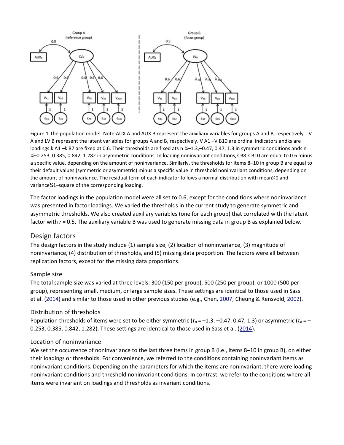

Figure 1.The population model. Note:AUX A and AUX B represent the auxiliary variables for groups A and B, respectively. LV A and LV B represent the latent variables for groups A and B, respectively. V A1 –V B10 are ordinal indicators andks are loadings.k A1 -k B7 are fixed at 0.6. Their thresholds are fixed ats n ¼-1.3,-0.47, 0.47, 1.3 in symmetric conditions ands n ¼–0.253, 0.385, 0.842, 1.282 in asymmetric conditions. In loading noninvariant conditions,k B8 k B10 are equal to 0.6 minus a specific value, depending on the amount of noninvariance. Similarly, the thresholds for items 8–10 in group B are equal to their default values (symmetric or asymmetric) minus a specific value in threshold noninvariant conditions, depending on the amount of noninvariance. The residual term of each indicator follows a normal distribution with mean¼0 and variance¼1–square of the corresponding loading.

The factor loadings in the population model were all set to 0.6, except for the conditions where noninvariance was presented in factor loadings. We varied the thresholds in the current study to generate symmetric and asymmetric thresholds. We also created auxiliary variables (one for each group) that correlated with the latent factor with  $r = 0.5$ . The auxiliary variable B was used to generate missing data in group B as explained below.

#### Design factors

The design factors in the study include (1) sample size, (2) location of noninvariance, (3) magnitude of noninvariance, (4) distribution of thresholds, and (5) missing data proportion. The factors were all between replication factors, except for the missing data proportions.

#### Sample size

The total sample size was varied at three levels: 300 (150 per group), 500 (250 per group), or 1000 (500 per group), representing small, medium, or large sample sizes. These settings are identical to those used in Sass et al. [\(2014\)](https://www.tandfonline.com/doi/full/10.1080/00273171.2019.1608799) and similar to those used in other previous studies (e.g., Chen, [2007;](https://www.tandfonline.com/doi/full/10.1080/00273171.2019.1608799) Cheung & Rensvold, [2002\)](https://www.tandfonline.com/doi/full/10.1080/00273171.2019.1608799).

#### Distribution of thresholds

Population thresholds of items were set to be either symmetric (*τ<sup>n</sup>* = –1.3, –0.47, 0.47, 1.3) or asymmetric (*τ<sup>n</sup>* = – 0.253, 0.385, 0.842, 1.282). These settings are identical to those used in Sass et al. [\(2014\)](https://www.tandfonline.com/doi/full/10.1080/00273171.2019.1608799).

#### Location of noninvariance

We set the occurrence of noninvariance to the last three items in group B (i.e., items 8–10 in group B), on either their loadings or thresholds. For convenience, we referred to the conditions containing noninvariant items as noninvariant conditions. Depending on the parameters for which the items are noninvariant, there were loading noninvariant conditions and threshold noninvariant conditions. In contrast, we refer to the conditions where all items were invariant on loadings and thresholds as invariant conditions.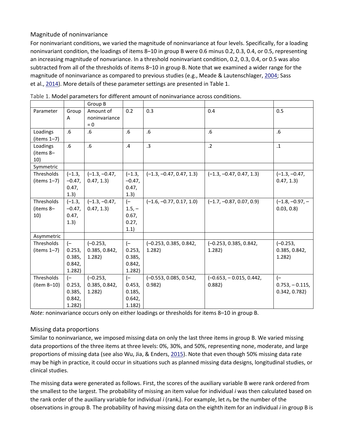#### Magnitude of noninvariance

For noninvariant conditions, we varied the magnitude of noninvariance at four levels. Specifically, for a loading noninvariant condition, the loadings of items 8–10 in group B were 0.6 minus 0.2, 0.3, 0.4, or 0.5, representing an increasing magnitude of nonvariance. In a threshold noninvariant condition, 0.2, 0.3, 0.4, or 0.5 was also subtracted from all of the thresholds of items 8–10 in group B. Note that we examined a wider range for the magnitude of noninvariance as compared to previous studies (e.g., Meade & Lautenschlager, [2004;](https://www.tandfonline.com/doi/full/10.1080/00273171.2019.1608799) Sass et al., [2014\)](https://www.tandfonline.com/doi/full/10.1080/00273171.2019.1608799). More details of these parameter settings are presented in Table 1.

|                                    |                                              | Group B                               |                                              |                                    |                                    |                                          |
|------------------------------------|----------------------------------------------|---------------------------------------|----------------------------------------------|------------------------------------|------------------------------------|------------------------------------------|
| Parameter                          | Group<br>A                                   | Amount of<br>noninvariance<br>$= 0$   | 0.2                                          | 0.3                                | 0.4                                | 0.5                                      |
| Loadings<br>$(items 1-7)$          | .6                                           | .6                                    | .6                                           | .6                                 | .6                                 | .6                                       |
| Loadings<br>(items 8-<br>10)       | .6                                           | .6                                    | .4                                           | .3                                 | $\cdot$ .2                         | $\cdot$ 1                                |
| Symmetric                          |                                              |                                       |                                              |                                    |                                    |                                          |
| Thresholds<br>(items $1-7$ )       | $(-1.3,$<br>$-0.47$ ,<br>0.47,<br>1.3)       | $(-1.3, -0.47,$<br>0.47, 1.3)         | $(-1.3,$<br>$-0.47,$<br>0.47,<br>1.3)        | $(-1.3, -0.47, 0.47, 1.3)$         | $(-1.3, -0.47, 0.47, 1.3)$         | $(-1.3, -0.47,$<br>0.47, 1.3)            |
| Thresholds<br>(items 8-<br>10)     | $(-1.3,$<br>$-0.47,$<br>0.47,<br>(1.3)       | $(-1.3, -0.47,$<br>0.47, 1.3)         | $(-$<br>$1.5,-$<br>0.67,<br>0.27,<br>1.1)    | $(-1.6, -0.77, 0.17, 1.0)$         | $(-1.7, -0.87, 0.07, 0.9)$         | $(-1.8, -0.97, -$<br>0.03, 0.8           |
| Asymmetric                         |                                              |                                       |                                              |                                    |                                    |                                          |
| <b>Thresholds</b><br>$(items 1-7)$ | $(-$<br>0.253,<br>0.385,<br>0.842,<br>1.282) | $(-0.253,$<br>0.385, 0.842,<br>1.282) | $(-$<br>0.253,<br>0.385,<br>0.842,<br>1.282) | $(-0.253, 0.385, 0.842,$<br>1.282) | $(-0.253, 0.385, 0.842,$<br>1.282) | $(-0.253,$<br>0.385, 0.842,<br>1.282)    |
| <b>Thresholds</b><br>$item 8-10)$  | $(-$<br>0.253,<br>0.385,<br>0.842,<br>1.282) | $(-0.253,$<br>0.385, 0.842,<br>1.282) | $(-$<br>0.453,<br>0.185,<br>0.642,<br>1.182) | (-0.553, 0.085, 0.542,<br>0.982)   | $(-0.653, -0.015, 0.442,$<br>0.882 | $(-$<br>$0.753, -0.115,$<br>0.342, 0.782 |

Table 1. Model parameters for different amount of noninvariance across conditions.

*Note:* noninvariance occurs only on either loadings or thresholds for items 8–10 in group B.

#### Missing data proportions

Similar to noninvariance, we imposed missing data on only the last three items in group B. We varied missing data proportions of the three items at three levels: 0%, 30%, and 50%, representing none, moderate, and large proportions of missing data (see also Wu, Jia, & Enders, [2015\)](https://www.tandfonline.com/doi/full/10.1080/00273171.2019.1608799). Note that even though 50% missing data rate may be high in practice, it could occur in situations such as planned missing data designs, longitudinal studies, or clinical studies.

The missing data were generated as follows. First, the scores of the auxiliary variable B were rank ordered from the smallest to the largest. The probability of missing an item value for individual *i* was then calculated based on the rank order of the auxiliary variable for individual *i* (rank*i*). For example, let *nb* be the number of the observations in group B. The probability of having missing data on the eighth item for an individual *i* in group B is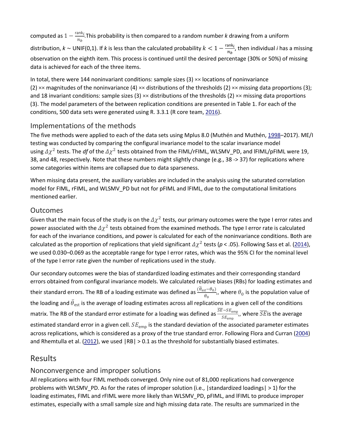computed as  $1 - \frac{\text{rank}_i}{n_b}$ . This probability is then compared to a random number *k* drawing from a uniform distribution,  $k \sim$  UNIF(0,1). If  $k$  is less than the calculated probability  $k < 1 - \frac{rank_i}{n_b}$ , then individual *i* has a missing observation on the eighth item. This process is continued until the desired percentage (30% or 50%) of missing data is achieved for each of the three items.

In total, there were 144 noninvariant conditions: sample sizes  $(3) \times \times$  locations of noninvariance (2)  $\times\times$  magnitudes of the noninvariance (4)  $\times\times$  distributions of the thresholds (2)  $\times\times$  missing data proportions (3); and 18 invariant conditions: sample sizes (3)  $\times\times$  distributions of the thresholds (2)  $\times\times$  missing data proportions (3). The model parameters of the between replication conditions are presented in Table 1. For each of the conditions, 500 data sets were generated using R. 3.3.1 (R core team, [2016\)](https://www.tandfonline.com/doi/full/10.1080/00273171.2019.1608799).

### Implementations of the methods

The five methods were applied to each of the data sets using Mplus 8.0 (Muthén and Muthén, [1998–](https://www.tandfonline.com/doi/full/10.1080/00273171.2019.1608799)2017). ME/I testing was conducted by comparing the configural invariance model to the scalar invariance model using  $\Delta \chi^2$  tests. The *df* of the  $\Delta \chi^2$  tests obtained from the FIML/rFIML, WLSMV\_PD, and IFIML/pFIML were 19, 38, and 48, respectively. Note that these numbers might slightly change (e.g., 38 -> 37) for replications where some categories within items are collapsed due to data sparseness.

When missing data present, the auxiliary variables are included in the analysis using the saturated correlation model for FIML, rFIML, and WLSMV\_PD but not for pFIML and lFIML, due to the computational limitations mentioned earlier.

### **Outcomes**

Given that the main focus of the study is on the  $\Delta \chi^2$  tests, our primary outcomes were the type I error rates and power associated with the  $\Delta \chi^2$  tests obtained from the examined methods. The type I error rate is calculated for each of the invariance conditions, and power is calculated for each of the noninvariance conditions. Both are calculated as the proportion of replications that yield significant  $\Delta \chi^2$  tests ( $p < .05$ ). Following Sass et al. [\(2014\)](https://www.tandfonline.com/doi/full/10.1080/00273171.2019.1608799), we used 0.030–0.069 as the acceptable range for type I error rates, which was the 95% CI for the nominal level of the type I error rate given the number of replications used in the study.

Our secondary outcomes were the bias of standardized loading estimates and their corresponding standard errors obtained from configural invariance models. We calculated relative biases (RBs) for loading estimates and their standard errors. The RB of a loading estimate was defined as  $\frac{(\theta_{est}-\theta_0)}{\theta_0}$ , where  $\theta_0$  is the population value of the loading and  $\theta_{\rm est}$  is the average of loading estimates across all replications in a given cell of the conditions matrix. The RB of the standard error estimate for a loading was defined as  $\frac{SE-SE_{\text{emp}}}{SE_{\text{emp}}}$ ,, where  $\overline{SE}$ is the average estimated standard error in a given cell.  $SE_{emp}$  is the standard deviation of the associated parameter estimates across replications, which is considered as a proxy of the true standard error. Following Flora and Curran [\(2004\)](https://www.tandfonline.com/doi/full/10.1080/00273171.2019.1608799) and Rhemtulla et al. [\(2012\)](https://www.tandfonline.com/doi/full/10.1080/00273171.2019.1608799), we used  $|RB| > 0.1$  as the threshold for substantially biased estimates.

## Results

### Nonconvergence and improper solutions

All replications with four FIML methods converged. Only nine out of 81,000 replications had convergence problems with WLSMV\_PD. As for the rates of improper solution (i.e., |standardized loadings| > 1) for the loading estimates, FIML and rFIML were more likely than WLSMV\_PD, pFIML, and lFIML to produce improper estimates, especially with a small sample size and high missing data rate. The results are summarized in the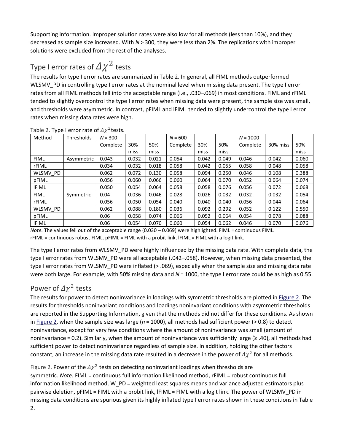Supporting Information. Improper solution rates were also low for all methods (less than 10%), and they decreased as sample size increased. With *N* > 300, they were less than 2%. The replications with improper solutions were excluded from the rest of the analyses.

# Type I error rates of  $\Delta \chi^2$  tests

The results for type I error rates are summarized in Table 2. In general, all FIML methods outperformed WLSMV\_PD in controlling type I error rates at the nominal level when missing data present. The type I error rates from all FIML methods fell into the acceptable range (i.e., .030–.069) in most conditions. FIML and rFIML tended to slightly overcontrol the type I error rates when missing data were present, the sample size was small, and thresholds were asymmetric. In contrast, pFIML and lFIML tended to slightly undercontrol the type I error rates when missing data rates were high.

| Method       | <b>Thresholds</b> | $N = 300$ |       |       | $N = 600$ |       |       | $N = 1000$ |          |       |
|--------------|-------------------|-----------|-------|-------|-----------|-------|-------|------------|----------|-------|
|              |                   | Complete  | 30%   | 50%   | Complete  | 30%   | 50%   | Complete   | 30% miss | 50%   |
|              |                   |           | miss  | miss  |           | miss  | miss  |            |          | miss  |
| <b>FIML</b>  | Asymmetric        | 0.043     | 0.032 | 0.021 | 0.054     | 0.042 | 0.049 | 0.046      | 0.042    | 0.060 |
| rFIML        |                   | 0.034     | 0.032 | 0.018 | 0.058     | 0.042 | 0.055 | 0.058      | 0.048    | 0.058 |
| WLSMV PD     |                   | 0.062     | 0.072 | 0.130 | 0.058     | 0.094 | 0.250 | 0.046      | 0.108    | 0.388 |
| pFIML        |                   | 0.056     | 0.060 | 0.066 | 0.060     | 0.064 | 0.070 | 0.052      | 0.064    | 0.074 |
| <b>IFIML</b> |                   | 0.050     | 0.054 | 0.064 | 0.058     | 0.058 | 0.076 | 0.056      | 0.072    | 0.068 |
| <b>FIML</b>  | Symmetric         | 0.04      | 0.036 | 0.046 | 0.028     | 0.026 | 0.032 | 0.032      | 0.032    | 0.054 |
| rFIML        |                   | 0.056     | 0.050 | 0.054 | 0.040     | 0.040 | 0.040 | 0.056      | 0.044    | 0.064 |
| WLSMV PD     |                   | 0.062     | 0.088 | 0.180 | 0.036     | 0.092 | 0.292 | 0.052      | 0.122    | 0.550 |
| pFIML        |                   | 0.06      | 0.058 | 0.074 | 0.066     | 0.052 | 0.064 | 0.054      | 0.078    | 0.088 |
| <b>IFIML</b> |                   | 0.06      | 0.054 | 0.070 | 0.060     | 0.054 | 0.062 | 0.046      | 0.070    | 0.076 |

Table 2. Type I error rate of  $\Delta \chi^2$  tests.

*Note.* The values fell out of the acceptable range (0.030 – 0.069) were highlighted. FIML = continuous FIML. rFIML = continuous robust FIML, pFIML = FIML with a probit link, lFIML = FIML with a logit link.

The type I error rates from WLSMV\_PD were highly influenced by the missing data rate. With complete data, the type I error rates from WLSMV\_PD were all acceptable (.042–.058). However, when missing data presented, the type I error rates from WLSMV\_PD were inflated (> .069), especially when the sample size and missing data rate were both large. For example, with 50% missing data and  $N = 1000$ , the type I error rate could be as high as 0.55.

# Power of  $\Delta \chi^2$  tests

The results for power to detect noninvariance in loadings with symmetric thresholds are plotted in [Figure 2.](https://www.tandfonline.com/doi/full/10.1080/00273171.2019.1608799#F0002) The results for thresholds noninvariant conditions and loadings noninvariant conditions with asymmetric thresholds are reported in the Supporting Information, given that the methods did not differ for these conditions. As shown in [Figure 2,](https://www.tandfonline.com/doi/full/10.1080/00273171.2019.1608799#F0002) when the sample size was large (*n* = 1000), all methods had sufficient power (> 0.8) to detect noninvariance, except for very few conditions where the amount of noninvariance was small (amount of noninvariance = 0.2). Similarly, when the amount of noninvariance was sufficiently large (≥ .40), all methods had sufficient power to detect noninvariance regardless of sample size. In addition, holding the other factors constant, an increase in the missing data rate resulted in a decrease in the power of  $\Delta \chi^2$  for all methods.

Figure 2. Power of the  $\Delta \chi^2$  tests on detecting noninvariant loadings when thresholds are symmetric. *Note:* FIML = continuous full information likelihood method, rFIML = robust continuous full information likelihood method, W\_PD = weighted least squares means and variance adjusted estimators plus pairwise deletion, pFIML = FIML with a probit link, lFIML = FIML with a logit link. The power of WLSMV\_PD in missing data conditions are spurious given its highly inflated type I error rates shown in these conditions in Table 2.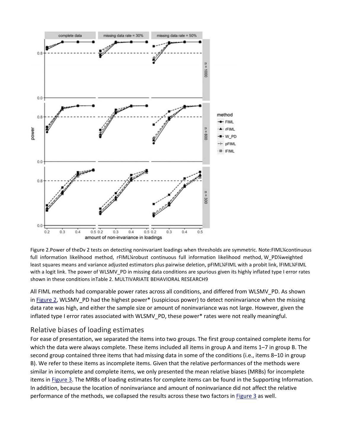

Figure 2.Power of theDv 2 tests on detecting noninvariant loadings when thresholds are symmetric. Note:FIML¼continuous full information likelihood method, rFIML¼robust continuous full information likelihood method, W\_PD¼weighted least squares means and variance adjusted estimators plus pairwise deletion, pFIML¼FIML with a probit link, lFIML¼FIML with a logit link. The power of WLSMV\_PD in missing data conditions are spurious given its highly inflated type I error rates shown in these conditions inTable 2. MULTIVARIATE BEHAVIORAL RESEARCH9

All FIML methods had comparable power rates across all conditions, and differed from WLSMV\_PD. As shown in [Figure 2,](https://www.tandfonline.com/doi/full/10.1080/00273171.2019.1608799#F0002) WLSMV\_PD had the highest power\* (suspicious power) to detect noninvariance when the missing data rate was high, and either the sample size or amount of noninvariance was not large. However, given the inflated type I error rates associated with WLSMV\_PD, these power\* rates were not really meaningful.

### Relative biases of loading estimates

For ease of presentation, we separated the items into two groups. The first group contained complete items for which the data were always complete. These items included all items in group A and items 1–7 in group B. The second group contained three items that had missing data in some of the conditions (i.e., items 8–10 in group B). We refer to these items as incomplete items. Given that the relative performances of the methods were similar in incomplete and complete items, we only presented the mean relative biases (MRBs) for incomplete items in [Figure 3.](https://www.tandfonline.com/doi/full/10.1080/00273171.2019.1608799#F0003) The MRBs of loading estimates for complete items can be found in the Supporting Information. In addition, because the location of noninvariance and amount of noninvariance did not affect the relative performance of the methods, we collapsed the results across these two factors in [Figure 3](https://www.tandfonline.com/doi/full/10.1080/00273171.2019.1608799#F0003) as well.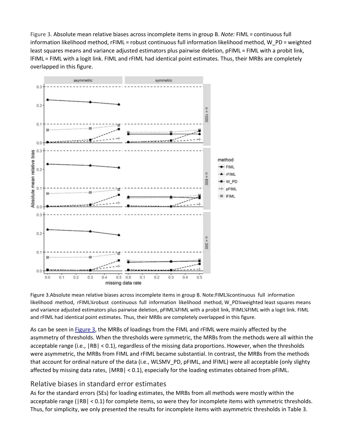Figure 3. Absolute mean relative biases across incomplete items in group B. *Note:* FIML = continuous full information likelihood method, rFIML = robust continuous full information likelihood method, W\_PD = weighted least squares means and variance adjusted estimators plus pairwise deletion, pFIML = FIML with a probit link, lFIML = FIML with a logit link. FIML and rFIML had identical point estimates. Thus, their MRBs are completely overlapped in this figure.



Figure 3.Absolute mean relative biases across incomplete items in group B. Note:FIML¼continuous full information likelihood method, rFIML¼robust continuous full information likelihood method, W\_PD¼weighted least squares means and variance adjusted estimators plus pairwise deletion, pFIML¼FIML with a probit link, lFIML¼FIML with a logit link. FIML and rFIML had identical point estimates. Thus, their MRBs are completely overlapped in this figure.

As can be seen in [Figure 3,](https://www.tandfonline.com/doi/full/10.1080/00273171.2019.1608799#F0003) the MRBs of loadings from the FIML and rFIML were mainly affected by the asymmetry of thresholds. When the thresholds were symmetric, the MRBs from the methods were all within the acceptable range (i.e., |RB| < 0.1), regardless of the missing data proportions. However, when the thresholds were asymmetric, the MRBs from FIML and rFIML became substantial. In contrast, the MRBs from the methods that account for ordinal nature of the data (i.e., WLSMV\_PD, pFIML, and lFIML) were all acceptable (only slighty affected by missing data rates, |MRB| < 0.1), especially for the loading estimates obtained from pFIML.

#### Relative biases in standard error estimates

As for the standard errors (SEs) for loading estimates, the MRBs from all methods were mostly within the acceptable range (|RB| < 0.1) for complete items, so were they for incomplete items with symmetric thresholds. Thus, for simplicity, we only presented the results for incomplete items with asymmetric thresholds in Table 3.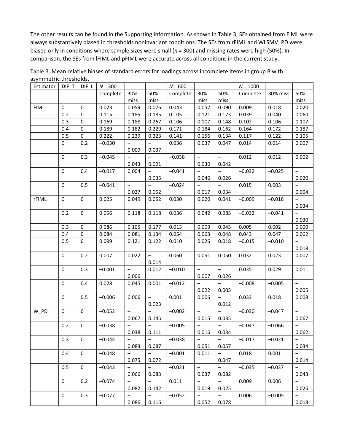The other results can be found in the Supporting Information. As shown in Table 3, SEs obtained from FIML were always substantively biased in thresholds noninvariant conditions. The SEs from rFIML and WLSMV\_PD were biased only in conditions where sample sizes were small (*n* = 300) and missing rates were high (50%). In comparison, the SEs from lFIML and pFIML were accurate across all conditions in the current study.

| Estimator   | $DIF_T$     |             | DIF_L $N = 300$ |                                   |                          | $N = 600$ |                          |                          | $N = 1000$ |          |                            |
|-------------|-------------|-------------|-----------------|-----------------------------------|--------------------------|-----------|--------------------------|--------------------------|------------|----------|----------------------------|
|             |             |             | Complete        | 30%                               | 50%                      | Complete  | 30%                      | 50%                      | Complete   | 30% miss | 50%                        |
|             |             |             |                 | miss                              | miss                     |           | miss                     | miss                     |            |          | miss                       |
| <b>FIML</b> | 0           | $\pmb{0}$   | 0.023           | 0.059                             | 0.076                    | 0.043     | 0.052                    | 0.090                    | 0.009      | 0.018    | 0.020                      |
|             | 0.2         | $\pmb{0}$   | 0.115           | 0.185                             | 0.185                    | 0.105     | 0.121                    | 0.173                    | 0.039      | 0.040    | 0.060                      |
|             | 0.3         | 0           | 0.169           | 0.188                             | 0.267                    | 0.106     | 0.107                    | 0.148                    | 0.102      | 0.106    | 0.107                      |
|             | 0.4         | 0           | 0.189           | 0.182                             | 0.229                    | 0.171     | 0.184                    | 0.162                    | 0.164      | 0.172    | 0.187                      |
|             | 0.5         | 0           | 0.222           | 0.239                             | 0.223                    | 0.141     | 0.156                    | 0.134                    | 0.117      | 0.122    | 0.105                      |
|             | 0           | 0.2         | $-0.030$        |                                   | $\qquad \qquad -$        | 0.036     | 0.037                    | 0.047                    | 0.014      | 0.014    | 0.007                      |
|             |             |             |                 | 0.009<br>$\overline{\phantom{0}}$ | 0.037<br>$\equiv$        |           | $\qquad \qquad -$        | $\overline{\phantom{0}}$ |            |          |                            |
|             | $\mathbf 0$ | 0.3         | $-0.045$        | 0.043                             | 0.021                    | $-0.038$  | 0.030                    | 0.042                    | 0.012      | 0.012    | 0.002                      |
|             | 0           | 0.4         | $-0.017$        | 0.004                             |                          | $-0.041$  |                          | $\overline{\phantom{0}}$ | $-0.032$   | $-0.025$ | $\overline{\phantom{0}}$   |
|             |             |             |                 |                                   | 0.035                    |           | 0.046                    | 0.026                    |            |          | 0.020                      |
|             | 0           | 0.5         | $-0.041$        | $\qquad \qquad -$                 |                          | $-0.024$  |                          |                          | 0.015      | 0.003    |                            |
|             |             |             |                 | 0.027                             | 0.052                    |           | 0.017                    | 0.034                    |            |          | 0.004                      |
| rFIML       | 0           | 0           | 0.025           | 0.049                             | 0.052                    | 0.030     | 0.020                    | 0.041                    | $-0.009$   | $-0.018$ | $\qquad \qquad -$<br>0.034 |
|             | 0.2         | 0           | 0.056           | 0.118                             | 0.118                    | 0.036     | 0.042                    | 0.085                    | $-0.032$   | $-0.041$ | $\overline{\phantom{a}}$   |
|             |             |             |                 |                                   |                          |           |                          |                          |            |          | 0.030                      |
|             | 0.3         | 0           | 0.086           | 0.105                             | 0.177                    | 0.013     | 0.009                    | 0.045                    | 0.005      | 0.002    | 0.000                      |
|             | 0.4         | $\pmb{0}$   | 0.084           | 0.081                             | 0.134                    | 0.054     | 0.063                    | 0.048                    | 0.043      | 0.047    | 0.062                      |
|             | 0.5         | 0           | 0.099           | 0.121                             | 0.122                    | 0.010     | 0.026                    | 0.018                    | $-0.015$   | $-0.010$ | $\overline{\phantom{0}}$   |
|             |             |             |                 |                                   |                          |           |                          |                          |            |          | 0.018                      |
|             | 0           | 0.2         | 0.007           | 0.022                             | $\equiv$                 | 0.060     | 0.051                    | 0.050                    | 0.032      | 0.023    | 0.007                      |
|             |             |             |                 |                                   | 0.014                    |           |                          |                          |            |          |                            |
|             | 0           | 0.3         | $-0.001$        | $\overline{\phantom{0}}$          | 0.012                    | $-0.010$  |                          |                          | 0.035      | 0.029    | 0.011                      |
|             |             |             |                 | 0.006                             |                          |           | 0.007                    | 0.026                    |            |          |                            |
|             | 0           | 0.4         | 0.028           | 0.045                             | 0.001                    | $-0.012$  |                          |                          | $-0.008$   | $-0.005$ | $\overline{\phantom{0}}$   |
|             |             |             |                 |                                   |                          |           | 0.022                    | 0.005                    |            |          | 0.005                      |
|             | $\mathbf 0$ | 0.5         | $-0.006$        | 0.006                             | $\qquad \qquad -$        | 0.001     | 0.006                    | $\qquad \qquad -$        | 0.033      | 0.018    | 0.008                      |
|             |             |             |                 |                                   | 0.023                    |           |                          | 0.012                    |            |          |                            |
| W_PD        | $\mathbf 0$ | 0           | $-0.052$        | $\qquad \qquad -$                 |                          | $-0.002$  | $\qquad \qquad -$        |                          | $-0.030$   | $-0.047$ | $\overline{\phantom{a}}$   |
|             |             |             |                 | 0.067                             | 0.145                    |           | 0.015                    | 0.035                    |            |          | 0.067                      |
|             | 0.2         | 0           | $-0.038$        | $\qquad \qquad -$                 | $\qquad \qquad -$        | $-0.005$  | $\qquad \qquad -$        | $\qquad \qquad -$        | $-0.047$   | $-0.066$ | $\overline{\phantom{0}}$   |
|             |             |             |                 | 0.038                             | 0.111                    |           | 0.016                    | 0.034                    |            |          | 0.062                      |
|             | 0.3         | 0           | $-0.044$        | $\equiv$                          | $-$                      | $-0.038$  | $\equiv$                 | $ \,$                    | $-0.017$   | $-0.021$ | $\equiv$                   |
|             |             |             |                 | 0.083                             | 0.087                    |           | 0.051                    | 0.057                    |            |          | 0.034                      |
|             | 0.4         | $\mathbf 0$ | $-0.048$        | $\overline{\phantom{0}}$          | $\equiv$                 | $-0.001$  | 0.011                    | $-$                      | 0.018      | 0.001    | $\equiv$                   |
|             |             |             |                 | 0.075                             | 0.072                    |           |                          | 0.047                    |            |          | 0.014                      |
|             | 0.5         | $\mathbf 0$ | $-0.043$        |                                   | $-$                      | $-0.021$  | $\equiv$                 | $-$                      | $-0.035$   | $-0.037$ | $-$                        |
|             |             |             |                 | 0.066                             | 0.083                    |           | 0.037                    | 0.082                    |            |          | 0.043                      |
|             | $\mathbf 0$ | 0.2         | $-0.074$        | $\overline{\phantom{m}}$          | $\overline{\phantom{0}}$ | 0.011     | $\qquad \qquad -$        | $-$                      | 0.009      | 0.006    | $\overline{\phantom{0}}$   |
|             |             |             |                 | 0.082                             | 0.142                    |           | 0.019                    | 0.025                    |            |          | 0.026                      |
|             | 0           | 0.3         | $-0.077$        | $\overline{\phantom{m}}$          | $\overline{\phantom{0}}$ | $-0.052$  | $\overline{\phantom{m}}$ | $\qquad \qquad -$        | 0.006      | $-0.005$ | $\overline{\phantom{0}}$   |
|             |             |             |                 | 0.086                             | 0.116                    |           | 0.052                    | 0.078                    |            |          | 0.018                      |

Table 3. Mean relative biases of standard errors for loadings across incomplete items in group B with asymmetric thresholds.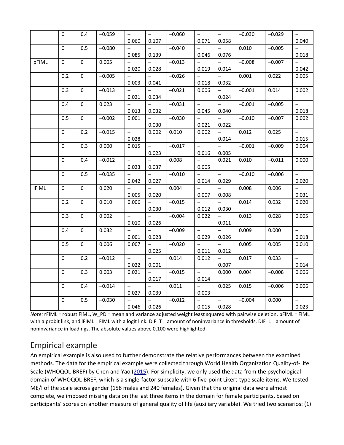|              | $\mathsf{O}\xspace$ | 0.4                 | $-0.059$ | $\qquad \qquad -$        | $\overline{\phantom{m}}$ | $-0.060$ | $\qquad \qquad -$        | $\equiv$                 | $-0.030$ | $-0.029$ | $\equiv$                 |
|--------------|---------------------|---------------------|----------|--------------------------|--------------------------|----------|--------------------------|--------------------------|----------|----------|--------------------------|
|              |                     |                     |          | 0.060                    | 0.107                    |          | 0.071                    | 0.058                    |          |          | 0.040                    |
|              | $\pmb{0}$           | 0.5                 | $-0.080$ |                          |                          | $-0.040$ |                          |                          | 0.010    | $-0.005$ |                          |
|              |                     |                     |          | 0.085                    | 0.139                    |          | 0.046                    | 0.076                    |          |          | 0.018                    |
| pFIML        | $\mathbf 0$         | $\mathbf 0$         | 0.005    | $\qquad \qquad -$        |                          | $-0.013$ |                          | $\overline{\phantom{0}}$ | $-0.008$ | $-0.007$ | $\overline{\phantom{0}}$ |
|              |                     |                     |          | 0.020                    | 0.028                    |          | 0.019                    | 0.014                    |          |          | 0.042                    |
|              | 0.2                 | $\mathbf 0$         | $-0.005$ | $\qquad \qquad -$        | $\overline{\phantom{0}}$ | $-0.026$ | $\overline{\phantom{0}}$ | $\qquad \qquad -$        | 0.001    | 0.022    | 0.005                    |
|              |                     |                     |          | 0.003                    | 0.041                    |          | 0.018                    | 0.032                    |          |          |                          |
|              | 0.3                 | $\pmb{0}$           | $-0.013$ | $-$                      | $\overline{\phantom{0}}$ | $-0.021$ | 0.006                    | $\overline{\phantom{0}}$ | $-0.001$ | 0.014    | 0.002                    |
|              |                     |                     |          | 0.021                    | 0.034                    |          |                          | 0.024                    |          |          |                          |
|              | 0.4                 | $\mathbf 0$         | 0.023    |                          |                          | $-0.031$ | $\overline{a}$           |                          | $-0.001$ | $-0.005$ | $\overline{a}$           |
|              |                     |                     |          | 0.013                    | 0.032                    |          | 0.045                    | 0.040                    |          |          | 0.018                    |
|              | 0.5                 | $\mathbf 0$         | $-0.002$ | 0.001                    | $\qquad \qquad -$        | $-0.030$ | $\overline{\phantom{0}}$ | $\overline{\phantom{0}}$ | $-0.010$ | $-0.007$ | 0.002                    |
|              |                     |                     |          |                          | 0.030                    |          | 0.021                    | 0.022                    |          |          |                          |
|              | $\mathbf 0$         | 0.2                 | $-0.015$ | $\equiv$                 | 0.002                    | 0.010    | 0.002                    |                          | 0.012    | 0.025    | $\qquad \qquad -$        |
|              |                     |                     |          | 0.028                    |                          |          |                          | 0.014                    |          |          | 0.015                    |
|              | 0                   | 0.3                 | 0.000    | 0.015                    | $\overline{\phantom{0}}$ | $-0.017$ | $\overline{\phantom{a}}$ | $\overline{\phantom{0}}$ | $-0.001$ | $-0.009$ | 0.004                    |
|              |                     |                     |          |                          | 0.023                    |          | 0.016                    | 0.005                    |          |          |                          |
|              | 0                   | 0.4                 | $-0.012$ | $\overline{\phantom{0}}$ |                          | 0.008    |                          | 0.021                    | 0.010    | $-0.011$ | 0.000                    |
|              |                     |                     |          | 0.023                    | 0.037                    |          | 0.005                    |                          |          |          |                          |
|              | $\mathbf 0$         | 0.5                 | $-0.035$ | $\qquad \qquad -$        | $\overline{\phantom{0}}$ | $-0.010$ | $\overline{\phantom{0}}$ | $\overline{\phantom{0}}$ | $-0.010$ | $-0.006$ | $\qquad \qquad -$        |
|              |                     |                     |          | 0.042                    | 0.027                    |          | 0.014                    | 0.029                    |          |          | 0.020                    |
| <b>IFIML</b> | 0                   | 0                   | 0.020    | $\overline{\phantom{0}}$ | $\qquad \qquad -$        | 0.004    | $\qquad \qquad -$        | $\qquad \qquad -$        | 0.008    | 0.006    | $\overline{\phantom{0}}$ |
|              |                     |                     |          | 0.005                    | 0.020                    |          | 0.007                    | 0.008                    |          |          | 0.031                    |
|              | 0.2                 | $\mathbf 0$         | 0.010    | 0.006                    | -                        | $-0.015$ | $\overline{\phantom{m}}$ | $\overline{\phantom{0}}$ | 0.014    | 0.032    | 0.020                    |
|              |                     |                     |          |                          | 0.030                    |          | 0.012                    | 0.030                    |          |          |                          |
|              | 0.3                 | $\mathsf{O}\xspace$ | 0.002    | $\equiv$                 |                          | $-0.004$ | 0.022                    | $\overline{\phantom{0}}$ | 0.013    | 0.028    | 0.005                    |
|              |                     |                     |          | 0.010                    | 0.026                    |          |                          | 0.011                    |          |          |                          |
|              | 0.4                 | $\mathbf 0$         | 0.032    | $\qquad \qquad -$        | $\overline{\phantom{0}}$ | $-0.009$ | $\equiv$                 | $\equiv$                 | 0.009    | 0.000    | $\equiv$                 |
|              |                     |                     |          | 0.001                    | 0.028                    |          | 0.029                    | 0.026                    |          |          | 0.018                    |
|              | 0.5                 | $\mathbf 0$         | 0.006    | 0.007                    | $\qquad \qquad -$        | $-0.020$ | $\equiv$                 | $\overline{\phantom{0}}$ | 0.005    | 0.005    | 0.010                    |
|              |                     |                     |          |                          | 0.025                    |          | 0.011                    | 0.012                    |          |          |                          |
|              | $\mathbf 0$         | 0.2                 | $-0.012$ | $\qquad \qquad -$        |                          | 0.014    | 0.012                    |                          | 0.017    | 0.033    |                          |
|              |                     |                     |          | 0.022                    | 0.001                    |          |                          | 0.007                    |          |          | 0.014                    |
|              | 0                   | 0.3                 | 0.003    | 0.021                    | $\overline{\phantom{0}}$ | $-0.015$ | $\equiv$                 | 0.000                    | 0.004    | $-0.008$ | 0.006                    |
|              |                     |                     |          |                          | 0.017                    |          | 0.014                    |                          |          |          |                          |
|              | 0                   | 0.4                 | $-0.014$ | $\overline{\phantom{0}}$ | $\overline{\phantom{0}}$ | 0.011    | $\equiv$                 | 0.025                    | 0.015    | $-0.006$ | 0.006                    |
|              |                     |                     |          | 0.027                    | 0.039                    |          | 0.003                    |                          |          |          |                          |
|              | $\pmb{0}$           | 0.5                 | $-0.030$ | $\overline{\phantom{0}}$ | $\qquad \qquad -$        | $-0.012$ | $\overline{\phantom{m}}$ | $\equiv$                 | $-0.004$ | 0.000    | $\overline{\phantom{0}}$ |
|              |                     |                     |          | 0.046                    | 0.026                    |          | 0.015                    | 0.028                    |          |          | 0.023                    |

*Note:* rFIML = robust FIML, W\_PD = mean and variance adjusted weight least squared with pairwise deletion, pFIML = FIML with a probit link, and IFIML = FIML with a logit link. DIF T = amount of noninvariance in thresholds, DIF L = amount of noninvariance in loadings. The absolute values above 0.100 were highlighted.

# Empirical example

An empirical example is also used to further demonstrate the relative performances between the examined methods. The data for the empirical example were collected through World Health Organization Quality-of-Life Scale (WHOQOL-BREF) by Chen and Yao [\(2015\)](https://www.tandfonline.com/doi/full/10.1080/00273171.2019.1608799). For simplicity, we only used the data from the psychological domain of WHOQOL-BREF, which is a single-factor subscale with 6 five-point Likert-type scale items. We tested ME/I of the scale across gender (158 males and 240 females). Given that the original data were almost complete, we imposed missing data on the last three items in the domain for female participants, based on participants' scores on another measure of general quality of life (auxiliary variable). We tried two scenarios: (1)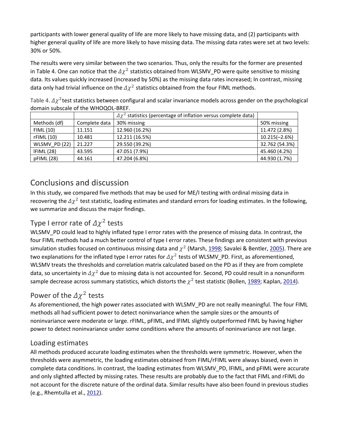participants with lower general quality of life are more likely to have missing data, and (2) participants with higher general quality of life are more likely to have missing data. The missing data rates were set at two levels: 30% or 50%.

The results were very similar between the two scenarios. Thus, only the results for the former are presented in Table 4. One can notice that the  $\Delta \chi^2$  statistics obtained from WLSMV\_PD were quite sensitive to missing data. Its values quickly increased (increased by 50%) as the missing data rates increased; In contrast, missing data only had trivial influence on the  $\Delta \chi^2$  statistics obtained from the four FIML methods.

| Table 4. $\Delta \chi^2$ test statistics between configural and scalar invariance models across gender on the psychological |  |
|-----------------------------------------------------------------------------------------------------------------------------|--|
| domain subscale of the WHOQOL-BREF.                                                                                         |  |
|                                                                                                                             |  |

|               |               | $\Delta \chi^2$ statistics (percentage of inflation versus complete data) |                 |
|---------------|---------------|---------------------------------------------------------------------------|-----------------|
| Methods (df)  | Complete data | 30% missing                                                               | 50% missing     |
| FIML (10)     | 11.151        | 12.960 (16.2%)                                                            | 11.472 (2.8%)   |
| rFIML(10)     | 10.481        | 12.211 (16.5%)                                                            | $10.215(-2.6%)$ |
| WLSMV_PD (22) | 21.227        | 29.550 (39.2%)                                                            | 32.762 (54.3%)  |
| IFIML(28)     | 43.595        | 47.051 (7.9%)                                                             | 45.460 (4.2%)   |
| pFIML (28)    | 44.161        | 47.204 (6.8%)                                                             | 44.930 (1.7%)   |

# Conclusions and discussion

In this study, we compared five methods that may be used for ME/I testing with ordinal missing data in recovering the  $\Delta \chi^2$  test statistic, loading estimates and standard errors for loading estimates. In the following, we summarize and discuss the major findings.

# Type I error rate of  $\Delta \chi^2$  tests

WLSMV\_PD could lead to highly inflated type I error rates with the presence of missing data. In contrast, the four FIML methods had a much better control of type I error rates. These findings are consistent with previous simulation studies focused on continuous missing data and  $\chi^2$  (Marsh, [1998;](https://www.tandfonline.com/doi/full/10.1080/00273171.2019.1608799) Savalei & Bentler, [2005\)](https://www.tandfonline.com/doi/full/10.1080/00273171.2019.1608799). There are two explanations for the inflated type I error rates for  $\Delta \chi^2$  tests of WLSMV\_PD. First, as aforementioned, WLSMV treats the thresholds and correlation matrix calculated based on the PD as if they are from complete data, so uncertainty in  $\Delta \chi^2$  due to missing data is not accounted for. Second, PD could result in a nonuniform sample decrease across summary statistics, which distorts the  $\chi^2$  test statistic (Bollen, [1989;](https://www.tandfonline.com/doi/full/10.1080/00273171.2019.1608799) Kaplan, [2014\)](https://www.tandfonline.com/doi/full/10.1080/00273171.2019.1608799).

## Power of the  $\Delta \chi^2$  tests

As aforementioned, the high power rates associated with WLSMV\_PD are not really meaningful. The four FIML methods all had sufficient power to detect noninvariance when the sample sizes or the amounts of noninvariance were moderate or large. rFIML, pFIML, and lFIML slightly outperformed FIML by having higher power to detect noninvariance under some conditions where the amounts of noninvariance are not large.

### Loading estimates

All methods produced accurate loading estimates when the thresholds were symmetric. However, when the thresholds were asymmetric, the loading estimates obtained from FIML/rFIML were always biased, even in complete data conditions. In contrast, the loading estimates from WLSMV\_PD, lFIML, and pFIML were accurate and only slighted affected by missing rates. These results are probably due to the fact that FIML and rFIML do not account for the discrete nature of the ordinal data. Similar results have also been found in previous studies (e.g., Rhemtulla et al., [2012\)](https://www.tandfonline.com/doi/full/10.1080/00273171.2019.1608799).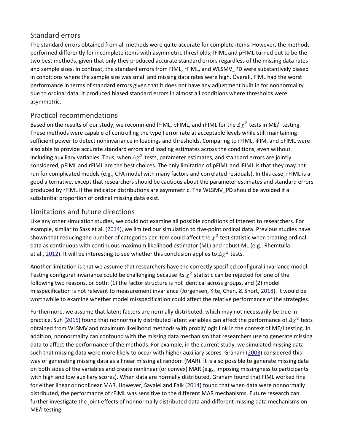### Standard errors

The standard errors obtained from all methods were quite accurate for complete items. However, the methods performed differently for incomplete items with asymmetric thresholds; lFIML and pFIML turned out to be the two best methods, given that only they produced accurate standard errors regardless of the missing data rates and sample sizes. In contrast, the standard errors from FIML, rFIML, and WLSMV\_PD were substantively biased in conditions where the sample size was small and missing data rates were high. Overall, FIML had the worst performance in terms of standard errors given that it does not have any adjustment built in for nonnormality due to ordinal data. It produced biased standard errors in almost all conditions where thresholds were asymmetric.

### Practical recommendations

Based on the results of our study, we recommend IFIML, pFIML, and rFIML for the  $\Delta \chi^2$  tests in ME/I testing. These methods were capable of controlling the type I error rate at acceptable levels while still maintaining sufficient power to detect noninvariance in loadings and thresholds. Comparing to rFIML, iFIM, and pFIML were also able to provide accurate standard errors and loading estimates across the conditions, even without including auxiliary variables. Thus, when  $\Delta \chi^2$  tests, parameter estimates, and standard errors are jointly considered, pFIML and rFIML are the best choices. The only limitation of pFIML and lFIML is that they may not run for complicated models (e.g., CFA model with many factors and correlated residuals). In this case, rFIML is a good alternative, except that researchers should be cautious about the parameter estimates and standard errors produced by rFIML if the indicator distributions are asymmetric. The WLSMV\_PD should be avoided if a substantial proportion of ordinal missing data exist.

### Limitations and future directions

Like any other simulation studies, we could not examine all possible conditions of interest to researchers. For example, similar to Sass et al. [\(2014\)](https://www.tandfonline.com/doi/full/10.1080/00273171.2019.1608799), we limited our simulation to five-point ordinal data. Previous studies have shown that reducing the number of categories per item could affect the  $\chi^2$  test statistic when treating ordinal data as continuous with continuous maximum likelihood estimator (ML) and robust ML (e.g., Rhemtulla et al., [2012\)](https://www.tandfonline.com/doi/full/10.1080/00273171.2019.1608799). It will be interesting to see whether this conclusion applies to  $\Delta \chi^2$  tests.

Another limitation is that we assume that researchers have the correctly specified configural invariance model. Testing configural invariance could be challenging because its  $\chi^2$  statistic can be rejected for one of the following two reasons, or both: (1) the factor structure is not identical across groups, and (2) model misspecification is not relevant to measurement invariance (Jorgensen, Kite, Chen, & Short, [2018\)](https://www.tandfonline.com/doi/full/10.1080/00273171.2019.1608799). It would be worthwhile to examine whether model misspecification could affect the relative performance of the strategies.

Furthermore, we assume that latent factors are normally distributed, which may not necessarily be true in practice. Suh [\(2015\)](https://www.tandfonline.com/doi/full/10.1080/00273171.2019.1608799) found that nonnormally distributed latent variables can affect the performance of  $\Delta \chi^2$  tests obtained from WLSMV and maximum likelihood methods with probit/logit link in the context of ME/I testing. In addition, nonnormality can confound with the missing data mechanism that researchers use to generate missing data to affect the performance of the methods. For example, in the current study, we simulated missing data such that missing data were more likely to occur with higher auxiliary scores. Graham [\(2003\)](https://www.tandfonline.com/doi/full/10.1080/00273171.2019.1608799) considered this way of generating missing data as a linear missing at random (MAR). It is also possible to generate missing data on both sides of the variables and create nonlinear (or convex) MAR (e.g., imposing missingness to participants with high and low auxiliary scores). When data are normally distributed, Graham found that FIML worked fine for either linear or nonlinear MAR. However, Savalei and Falk [\(2014\)](https://www.tandfonline.com/doi/full/10.1080/00273171.2019.1608799) found that when data were nonnormally distributed, the performance of rFIML was sensitive to the different MAR mechanisms. Future research can further investigate the joint effects of nonnormally distributed data and different missing data mechanisms on ME/I testing.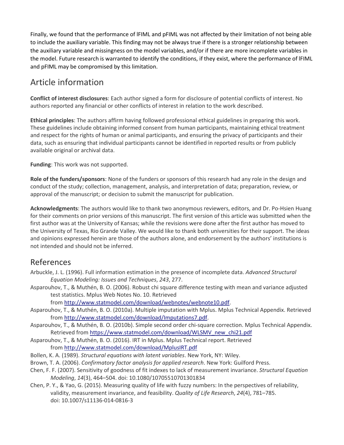Finally, we found that the performance of lFIML and pFIML was not affected by their limitation of not being able to include the auxiliary variable. This finding may not be always true if there is a stronger relationship between the auxiliary variable and missingness on the model variables, and/or if there are more incomplete variables in the model. Future research is warranted to identify the conditions, if they exist, where the performance of lFIML and pFIML may be compromised by this limitation.

# Article information

**Conflict of interest disclosures**: Each author signed a form for disclosure of potential conflicts of interest. No authors reported any financial or other conflicts of interest in relation to the work described.

**Ethical principles**: The authors affirm having followed professional ethical guidelines in preparing this work. These guidelines include obtaining informed consent from human participants, maintaining ethical treatment and respect for the rights of human or animal participants, and ensuring the privacy of participants and their data, such as ensuring that individual participants cannot be identified in reported results or from publicly available original or archival data.

**Funding**: This work was not supported.

**Role of the funders/sponsors**: None of the funders or sponsors of this research had any role in the design and conduct of the study; collection, management, analysis, and interpretation of data; preparation, review, or approval of the manuscript; or decision to submit the manuscript for publication.

**Acknowledgments**: The authors would like to thank two anonymous reviewers, editors, and Dr. Po-Hsien Huang for their comments on prior versions of this manuscript. The first version of this article was submitted when the first author was at the University of Kansas; while the revisions were done after the first author has moved to the University of Texas, Rio Grande Valley. We would like to thank both universities for their support. The ideas and opinions expressed herein are those of the authors alone, and endorsement by the authors' institutions is not intended and should not be inferred.

# References

- Arbuckle, J. L. (1996). Full information estimation in the presence of incomplete data. *Advanced Structural Equation Modeling: Issues and Techniques*, *243*, 277.
- Asparouhov, T., & Muthén, B. O. (2006). Robust chi square difference testing with mean and variance adjusted test statistics. Mplus Web Notes No. 10. Retrieved

from [http://www.statmodel.com/download/webnotes/webnote10.pdf.](http://www.statmodel.com/download/webnotes/webnote10.pdf)

- Asparouhov, T., & Muthén, B. O. (2010a). Multiple imputation with Mplus. Mplus Technical Appendix. Retrieved from [http://www.statmodel.com/download/Imputations7.pdf.](http://www.statmodel.com/download/Imputations7.pdf)
- Asparouhov, T., & Muthén, B. O. (2010b). Simple second order chi-square correction. Mplus Technical Appendix. Retrieved from [https://www.statmodel.com/download/WLSMV\\_new\\_chi21.pdf](https://www.statmodel.com/download/WLSMV_new_chi21.pdf)
- Asparouhov, T., & Muthén, B. O. (2016). IRT in Mplus. Mplus Technical report. Retrieved from <http://www.statmodel.com/download/MplusIRT.pdf>
- Bollen, K. A. (1989). *Structural equations with latent variables*. New York, NY: Wiley.
- Brown, T. A. (2006). *Confirmatory factor analysis for applied research*. New York: Guilford Press.
- Chen, F. F. (2007). Sensitivity of goodness of fit indexes to lack of measurement invariance. *Structural Equation Modeling*, *14*(3), 464–504. doi: 10.1080/10705510701301834
- Chen, P. Y., & Yao, G. (2015). Measuring quality of life with fuzzy numbers: In the perspectives of reliability, validity, measurement invariance, and feasibility. *Quality of Life Research*, *24*(4), 781–785. doi: 10.1007/s11136-014-0816-3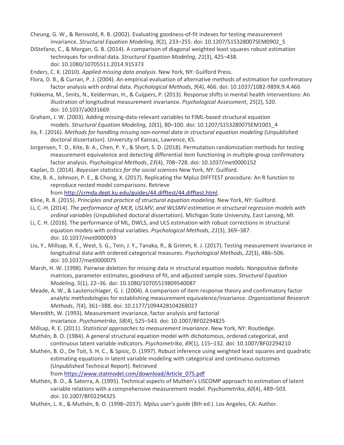Cheung, G. W., & Rensvold, R. B. (2002). Evaluating goodness-of-fit indexes for testing measurement invariance. *Structural Equation Modeling*, *9*(2), 233–255. doi: 10.1207/S15328007SEM0902\_5

- DiStefano, C., & Morgan, G. B. (2014). A comparison of diagonal weighted least squares robust estimation techniques for ordinal data. *Structural Equation Modeling*, *21*(3), 425–438. doi: 10.1080/10705511.2014.915373
- Enders, C. K. (2010). *Applied missing data analysis*. New York, NY: Guilford Press.
- Flora, D. B., & Curran, P. J. (2004). An empirical evaluation of alternative methods of estimation for confirmatory factor analysis with ordinal data. *Psychological Methods*, *9*(4), 466. doi: 10.1037/1082-989X.9.4.466
- Fokkema, M., Smits, N., Kelderman, H., & Cuijpers, P. (2013). Response shifts in mental health interventions: An illustration of longitudinal measurement invariance. *Psychological Assessment*, *25*(2), 520. doi: 10.1037/a0031669
- Graham, J. W. (2003). Adding missing-data-relevant variables to FIML-based structural equation models. *Structural Equation Modeling*, *10*(1), 80–100. doi: 10.1207/S15328007SEM1001\_4
- Jia, F. (2016). *Methods for handling missing non-normal data in structural equation modeling* (Unpublished doctoral dissertation). University of Kansas, Lawrence, KS.
- Jorgensen, T. D., Kite, B. A., Chen, P. Y., & Short, S. D. (2018). Permutation randomization methods for testing measurement equivalence and detecting differential item functioning in multiple-group confirmatory factor analysis. *Psychological Methods*, *23*(4), 708–728. doi: 10.1037/met0000152
- Kaplan, D. (2014). *Bayesian statistics for the social sciences* New York, NY: Guilford.
- Kite, B. A., Johnson, P. E., & Chong, X. (2017). Replicating the Mplus DIFFTEST procedure: An R function to reproduce nested model comparisons. Retrieve

from [http://crmda.dept.ku.edu/guides/44.difftest/44.difftest.html.](http://crmda.dept.ku.edu/guides/44.difftest/44.difftest.html)

- Kline, R. B. (2015). *Principles and practice of structural equation modeling*. New York, NY: Guilford.
- Li, C.-H. (2014). *The performance of MLR, USLMV, and WLSMV estimation in structural regression models with ordinal variables* (Unpublished doctoral dissertation). Michigan State University, East Lansing, MI.
- Li, C. H. (2016). The performance of ML, DWLS, and ULS estimation with robust corrections in structural equation models with ordinal variables. *Psychological Methods*, *21*(3), 369–387. doi: 10.1037/met0000093
- Liu, Y., Millsap, R. E., West, S. G., Tein, J. Y., Tanaka, R., & Grimm, K. J. (2017). Testing measurement invariance in longitudinal data with ordered-categorical measures. *Psychological Methods*, *22*(3), 486–506. doi: 10.1037/met0000075
- Marsh, H. W. (1998). Pairwise deletion for missing data in structural equation models: Nonpositive definite matrices, parameter estimates, goodness of fit, and adjusted sample sizes. *Structural Equation Modeling*, *5*(1), 22–36. doi: 10.1080/10705519809540087
- Meade, A. W., & Lautenschlager, G. J. (2004). A comparison of item response theory and confirmatory factor analytic methodologies for establishing measurement equivalence/invariance. *Organizational Research Methods*, *7*(4), 361–388. doi: 10.1177/1094428104268027
- Meredith, W. (1993). Measurement invariance, factor analysis and factorial invariance. *Psychometrika*, *58*(4), 525–543. doi: 10.1007/BF02294825
- Millsap, R. E. (2011). *Statistical approaches to measurement invariance*. New York, NY: Routledge.
- Muthén, B. O. (1984). A general structural equation model with dichotomous, ordered categorical, and continuous latent variable indicators. *Psychometrika*, *49*(1), 115–132. doi: 10.1007/BF02294210
- Muthén, B. O., De Toit, S. H. C., & Spisic, D. (1997). Robust inference using weighted least squares and quadratic estimating equations in latent variable modeling with categorical and continuous outcomes (Unpublished Technical Report). Retrieved

from [https://www.statmodel.com/download/Article\\_075.pdf](https://www.statmodel.com/download/Article_075.pdf)

- Muthén, B. O., & Satorra, A. (1995). Technical aspects of Muthén's LISCOMP approach to estimation of latent variable relations with a comprehensive measurement model. *Psychometrika*, *60*(4), 489–503. doi: 10.1007/BF02294325
- Muthén, L. K., & Muthén, B. O. (1998–2017). *Mplus user's guide* (8th ed.). Los Angeles, CA: Author.